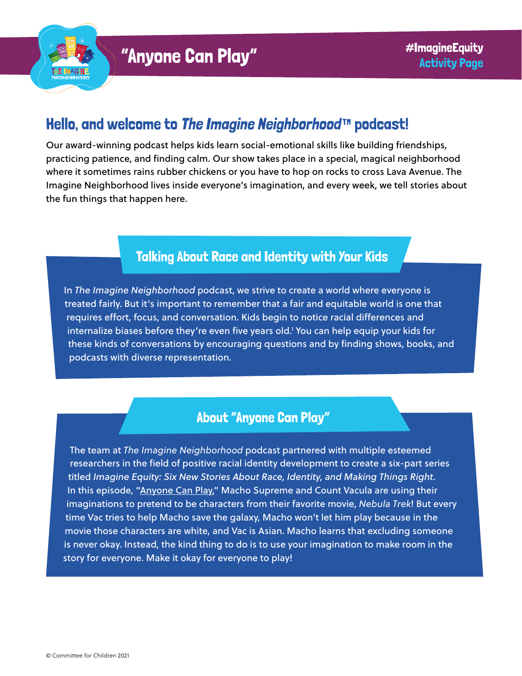

# Hello, and welcome to [The Imagine Neighborhood](https://www.imagineneighborhood.org/)™ podcast!

Our award-winning podcast helps kids learn social-emotional skills like building friendships, practicing patience, and finding calm. Our show takes place in a special, magical neighborhood where it sometimes rains rubber chickens or you have to hop on rocks to cross Lava Avenue. The Imagine Neighborhood lives inside everyone's imagination, and every week, we tell stories about the fun things that happen here.

## Talking About Race and Identity with Your Kids

In *The Imagine Neighborhood* podcast, we strive to create a world where everyone is treated fairly. But it's important to remember that a fair and equitable world is one that requires effort, focus, and conversation. Kids begin to notice racial differences and internalize biases before they're even five years old.1 You can help equip your kids for these kinds of conversations by encouraging questions and by finding shows, books, and podcasts with diverse representation.

## About "Anyone Can Play"

The team at *The Imagine Neighborhood* podcast partnered with multiple esteemed researchers in the field of positive racial identity development to create a six-part series titled *Imagine Equity: Six New Stories About Race, Identity, and Making Things Right*. In this episode, ["Anyone Can Play,"](https://www.imagineneighborhood.org/imagineequity) Macho Supreme and Count Vacula are using their imaginations to pretend to be characters from their favorite movie, *Nebula Trek*! But every time Vac tries to help Macho save the galaxy, Macho won't let him play because in the movie those characters are white, and Vac is Asian. Macho learns that excluding someone is never okay. Instead, the kind thing to do is to use your imagination to make room in the story for everyone. Make it okay for everyone to play!